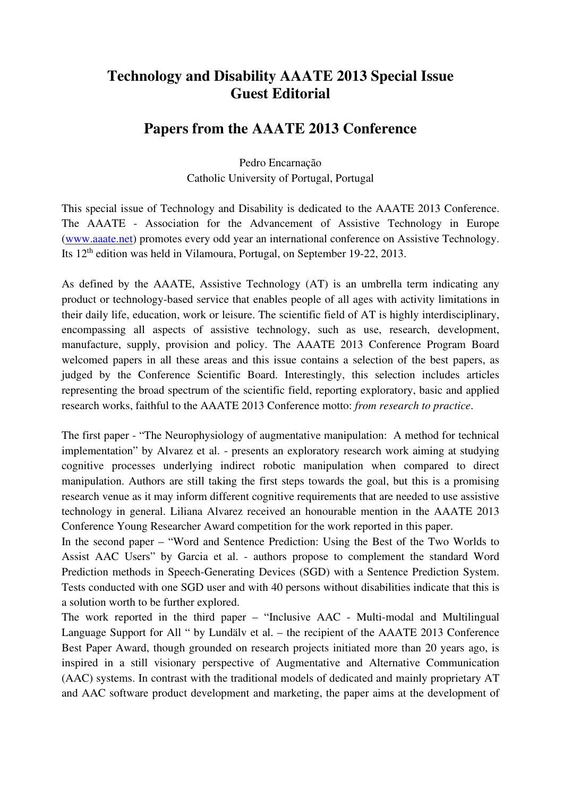## **Technology and Disability AAATE 2013 Special Issue Guest Editorial**

## **Papers from the AAATE 2013 Conference**

Pedro Encarnação Catholic University of Portugal, Portugal

This special issue of Technology and Disability is dedicated to the AAATE 2013 Conference. The AAATE - Association for the Advancement of Assistive Technology in Europe (www.aaate.net) promotes every odd year an international conference on Assistive Technology. Its 12th edition was held in Vilamoura, Portugal, on September 19-22, 2013.

As defined by the AAATE, Assistive Technology (AT) is an umbrella term indicating any product or technology-based service that enables people of all ages with activity limitations in their daily life, education, work or leisure. The scientific field of AT is highly interdisciplinary, encompassing all aspects of assistive technology, such as use, research, development, manufacture, supply, provision and policy. The AAATE 2013 Conference Program Board welcomed papers in all these areas and this issue contains a selection of the best papers, as judged by the Conference Scientific Board. Interestingly, this selection includes articles representing the broad spectrum of the scientific field, reporting exploratory, basic and applied research works, faithful to the AAATE 2013 Conference motto: *from research to practice*.

The first paper - "The Neurophysiology of augmentative manipulation: A method for technical implementation" by Alvarez et al. - presents an exploratory research work aiming at studying cognitive processes underlying indirect robotic manipulation when compared to direct manipulation. Authors are still taking the first steps towards the goal, but this is a promising research venue as it may inform different cognitive requirements that are needed to use assistive technology in general. Liliana Alvarez received an honourable mention in the AAATE 2013 Conference Young Researcher Award competition for the work reported in this paper.

In the second paper – "Word and Sentence Prediction: Using the Best of the Two Worlds to Assist AAC Users" by Garcia et al. - authors propose to complement the standard Word Prediction methods in Speech-Generating Devices (SGD) with a Sentence Prediction System. Tests conducted with one SGD user and with 40 persons without disabilities indicate that this is a solution worth to be further explored.

The work reported in the third paper – "Inclusive AAC - Multi-modal and Multilingual Language Support for All " by Lundälv et al. – the recipient of the AAATE 2013 Conference Best Paper Award, though grounded on research projects initiated more than 20 years ago, is inspired in a still visionary perspective of Augmentative and Alternative Communication (AAC) systems. In contrast with the traditional models of dedicated and mainly proprietary AT and AAC software product development and marketing, the paper aims at the development of